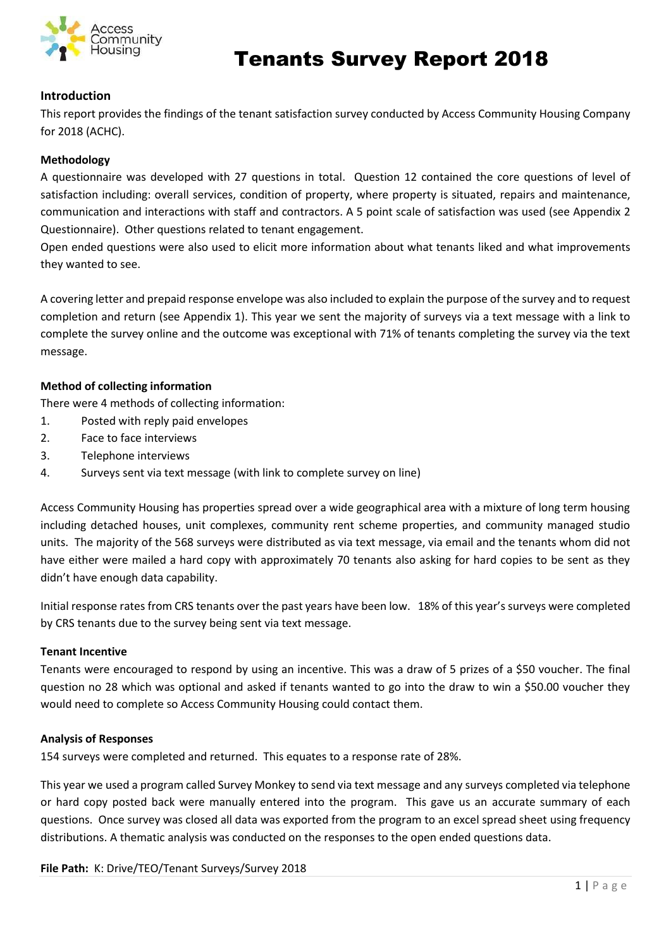

# Tenants Survey Report 2018

### **Introduction**

This report provides the findings of the tenant satisfaction survey conducted by Access Community Housing Company for 2018 (ACHC).

#### **Methodology**

A questionnaire was developed with 27 questions in total. Question 12 contained the core questions of level of satisfaction including: overall services, condition of property, where property is situated, repairs and maintenance, communication and interactions with staff and contractors. A 5 point scale of satisfaction was used (see Appendix 2 Questionnaire). Other questions related to tenant engagement.

Open ended questions were also used to elicit more information about what tenants liked and what improvements they wanted to see.

A covering letter and prepaid response envelope was also included to explain the purpose of the survey and to request completion and return (see Appendix 1). This year we sent the majority of surveys via a text message with a link to complete the survey online and the outcome was exceptional with 71% of tenants completing the survey via the text message.

#### **Method of collecting information**

There were 4 methods of collecting information:

- 1. Posted with reply paid envelopes
- 2. Face to face interviews
- 3. Telephone interviews
- 4. Surveys sent via text message (with link to complete survey on line)

Access Community Housing has properties spread over a wide geographical area with a mixture of long term housing including detached houses, unit complexes, community rent scheme properties, and community managed studio units. The majority of the 568 surveys were distributed as via text message, via email and the tenants whom did not have either were mailed a hard copy with approximately 70 tenants also asking for hard copies to be sent as they didn't have enough data capability.

Initial response rates from CRS tenants over the past years have been low. 18% of this year's surveys were completed by CRS tenants due to the survey being sent via text message.

#### **Tenant Incentive**

Tenants were encouraged to respond by using an incentive. This was a draw of 5 prizes of a \$50 voucher. The final question no 28 which was optional and asked if tenants wanted to go into the draw to win a \$50.00 voucher they would need to complete so Access Community Housing could contact them.

#### **Analysis of Responses**

154 surveys were completed and returned. This equates to a response rate of 28%.

This year we used a program called Survey Monkey to send via text message and any surveys completed via telephone or hard copy posted back were manually entered into the program. This gave us an accurate summary of each questions. Once survey was closed all data was exported from the program to an excel spread sheet using frequency distributions. A thematic analysis was conducted on the responses to the open ended questions data.

**File Path:** K: Drive/TEO/Tenant Surveys/Survey 2018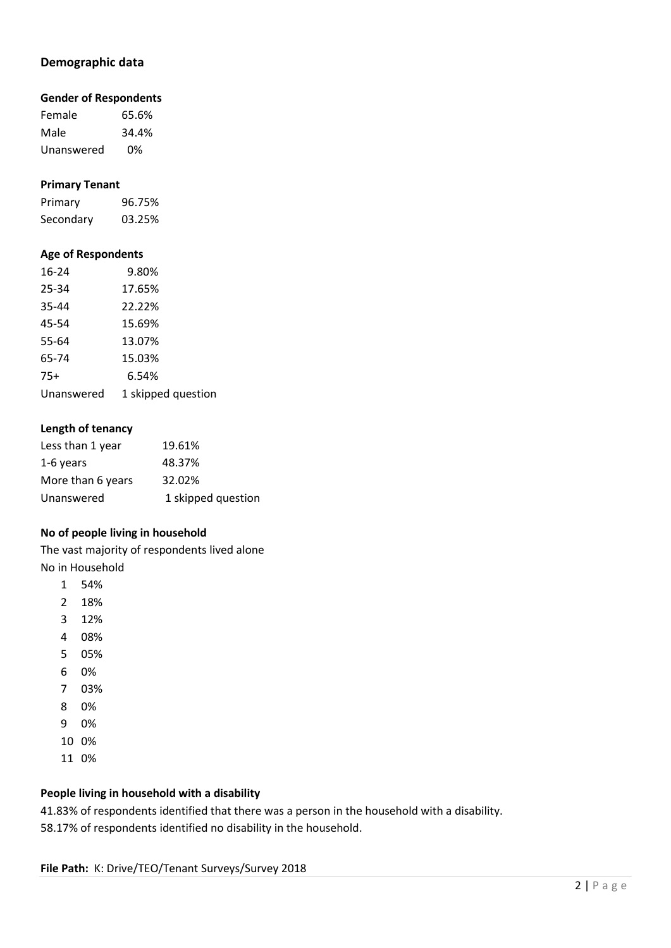### **Demographic data**

#### **Gender of Respondents**

Female 65.6% Male 34.4% Unanswered 0%

#### **Primary Tenant**

Primary 96.75% Secondary 03.25%

#### **Age of Respondents**

| $16 - 24$  | 9.80%              |
|------------|--------------------|
| 25-34      | 17.65%             |
| 35-44      | 22.22%             |
| 45-54      | 15.69%             |
| 55-64      | 13.07%             |
| 65-74      | 15.03%             |
| $75+$      | 6.54%              |
| Unanswered | 1 skipped question |

#### **Length of tenancy**

| Less than 1 year  | 19.61%             |
|-------------------|--------------------|
| 1-6 years         | 48.37%             |
| More than 6 years | 32.02%             |
| Unanswered        | 1 skipped question |
|                   |                    |

### **No of people living in household**

The vast majority of respondents lived alone No in Household

- 1 54%
- 2 18%
- 3 12%
- 4 08%
- 5 05%
- 6 0%
- 7 03%
- 8 0%
- 9 0%
- 10 0%
- 11 0%

### **People living in household with a disability**

41.83% of respondents identified that there was a person in the household with a disability. 58.17% of respondents identified no disability in the household.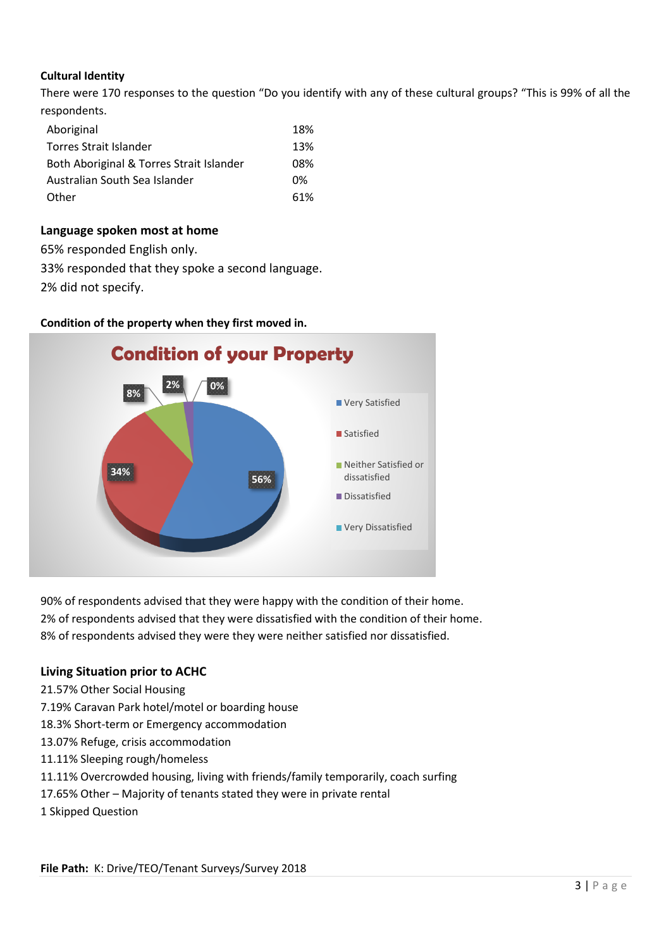### **Cultural Identity**

There were 170 responses to the question "Do you identify with any of these cultural groups? "This is 99% of all the respondents.

| Aboriginal                               | 18% |
|------------------------------------------|-----|
| Torres Strait Islander                   | 13% |
| Both Aboriginal & Torres Strait Islander | 08% |
| Australian South Sea Islander            | በ%  |
| Other                                    | 61% |
|                                          |     |

### **Language spoken most at home**

65% responded English only.

33% responded that they spoke a second language.

2% did not specify.



**Condition of the property when they first moved in.**

90% of respondents advised that they were happy with the condition of their home. 2% of respondents advised that they were dissatisfied with the condition of their home. 8% of respondents advised they were they were neither satisfied nor dissatisfied.

### **Living Situation prior to ACHC**

- 21.57% Other Social Housing
- 7.19% Caravan Park hotel/motel or boarding house
- 18.3% Short-term or Emergency accommodation
- 13.07% Refuge, crisis accommodation
- 11.11% Sleeping rough/homeless
- 11.11% Overcrowded housing, living with friends/family temporarily, coach surfing
- 17.65% Other Majority of tenants stated they were in private rental
- 1 Skipped Question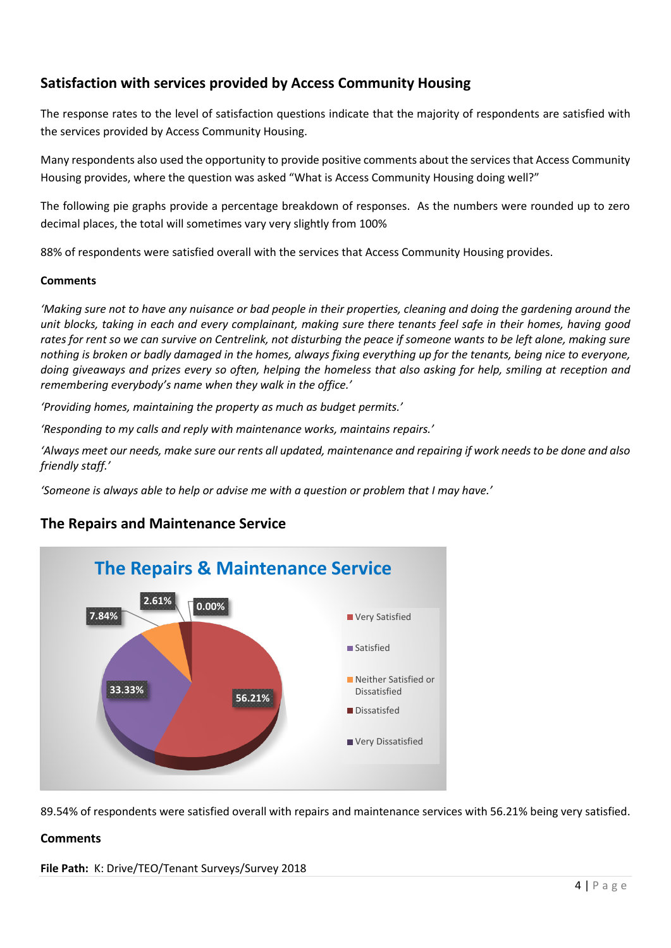### **Satisfaction with services provided by Access Community Housing**

The response rates to the level of satisfaction questions indicate that the majority of respondents are satisfied with the services provided by Access Community Housing.

Many respondents also used the opportunity to provide positive comments about the services that Access Community Housing provides, where the question was asked "What is Access Community Housing doing well?"

The following pie graphs provide a percentage breakdown of responses. As the numbers were rounded up to zero decimal places, the total will sometimes vary very slightly from 100%

88% of respondents were satisfied overall with the services that Access Community Housing provides.

### **Comments**

*'Making sure not to have any nuisance or bad people in their properties, cleaning and doing the gardening around the unit blocks, taking in each and every complainant, making sure there tenants feel safe in their homes, having good rates for rent so we can survive on Centrelink, not disturbing the peace if someone wants to be left alone, making sure nothing is broken or badly damaged in the homes, always fixing everything up for the tenants, being nice to everyone, doing giveaways and prizes every so often, helping the homeless that also asking for help, smiling at reception and remembering everybody's name when they walk in the office.'*

*'Providing homes, maintaining the property as much as budget permits.'*

*'Responding to my calls and reply with maintenance works, maintains repairs.'*

*'Always meet our needs, make sure our rents all updated, maintenance and repairing if work needs to be done and also friendly staff.'*

*'Someone is always able to help or advise me with a question or problem that I may have.'*

### **The Repairs and Maintenance Service**



89.54% of respondents were satisfied overall with repairs and maintenance services with 56.21% being very satisfied.

### **Comments**

**File Path:** K: Drive/TEO/Tenant Surveys/Survey 2018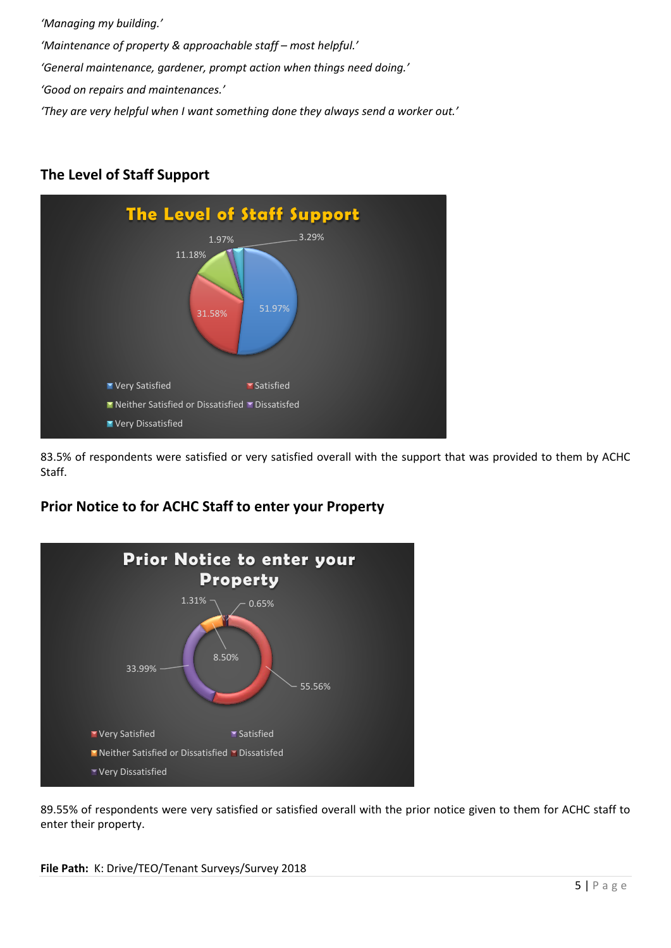*'Managing my building.'*

*'Maintenance of property & approachable staff – most helpful.'*

*'General maintenance, gardener, prompt action when things need doing.'*

*'Good on repairs and maintenances.'*

*'They are very helpful when I want something done they always send a worker out.'*

# **The Level of Staff Support**



83.5% of respondents were satisfied or very satisfied overall with the support that was provided to them by ACHC Staff.

## **Prior Notice to for ACHC Staff to enter your Property**



89.55% of respondents were very satisfied or satisfied overall with the prior notice given to them for ACHC staff to enter their property.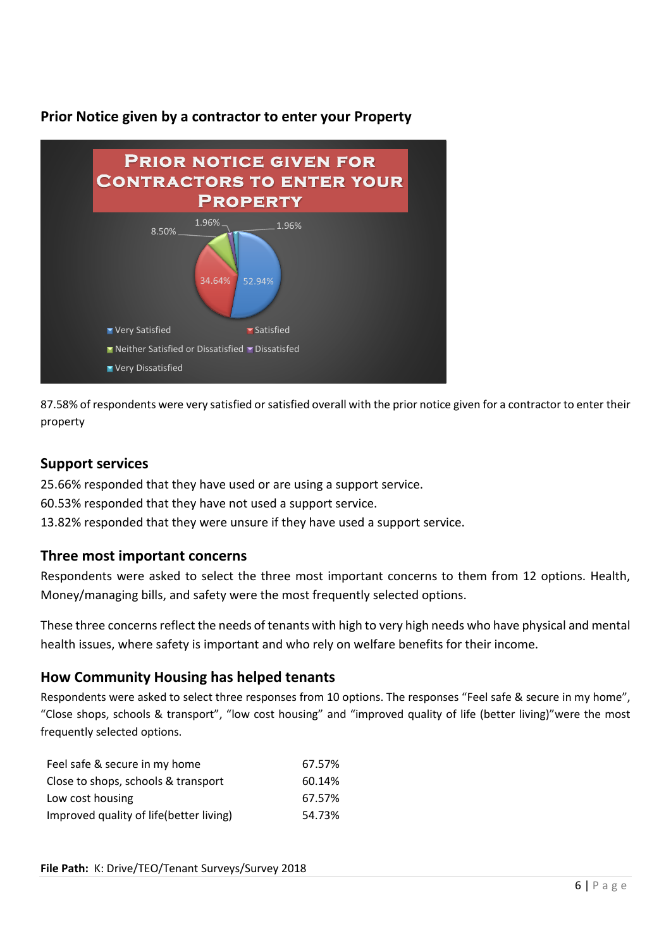**Prior Notice given by a contractor to enter your Property**



87.58% of respondents were very satisfied or satisfied overall with the prior notice given for a contractor to enter their property

### **Support services**

25.66% responded that they have used or are using a support service.

- 60.53% responded that they have not used a support service.
- 13.82% responded that they were unsure if they have used a support service.

### **Three most important concerns**

Respondents were asked to select the three most important concerns to them from 12 options. Health, Money/managing bills, and safety were the most frequently selected options.

These three concerns reflect the needs of tenants with high to very high needs who have physical and mental health issues, where safety is important and who rely on welfare benefits for their income.

### **How Community Housing has helped tenants**

Respondents were asked to select three responses from 10 options. The responses "Feel safe & secure in my home", "Close shops, schools & transport", "low cost housing" and "improved quality of life (better living)"were the most frequently selected options.

| Feel safe & secure in my home           | 67.57% |
|-----------------------------------------|--------|
| Close to shops, schools & transport     | 60.14% |
| Low cost housing                        | 67.57% |
| Improved quality of life(better living) | 54.73% |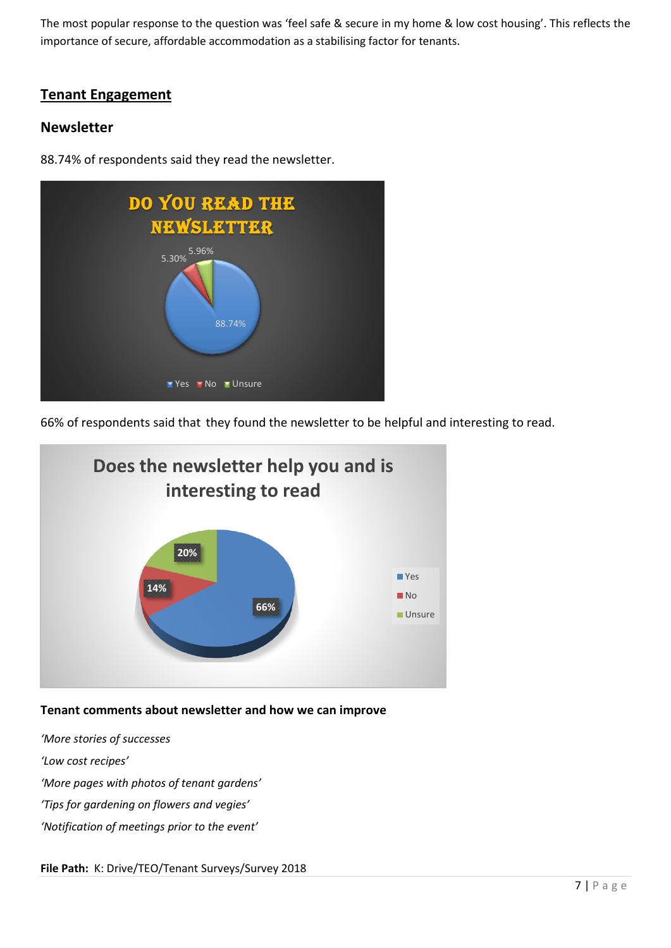The most popular response to the question was 'feel safe & secure in my home & low cost housing'. This reflects the importance of secure, affordable accommodation as a stabilising factor for tenants.

### **Tenant Engagement**

### **Newsletter**

88.74% of respondents said they read the newsletter.



66% of respondents said that they found the newsletter to be helpful and interesting to read.



### **Tenant comments about newsletter and how we can improve**

*'More stories of successes*

*'Low cost recipes'*

*'More pages with photos of tenant gardens'*

*'Tips for gardening on flowers and vegies'*

*'Notification of meetings prior to the event'*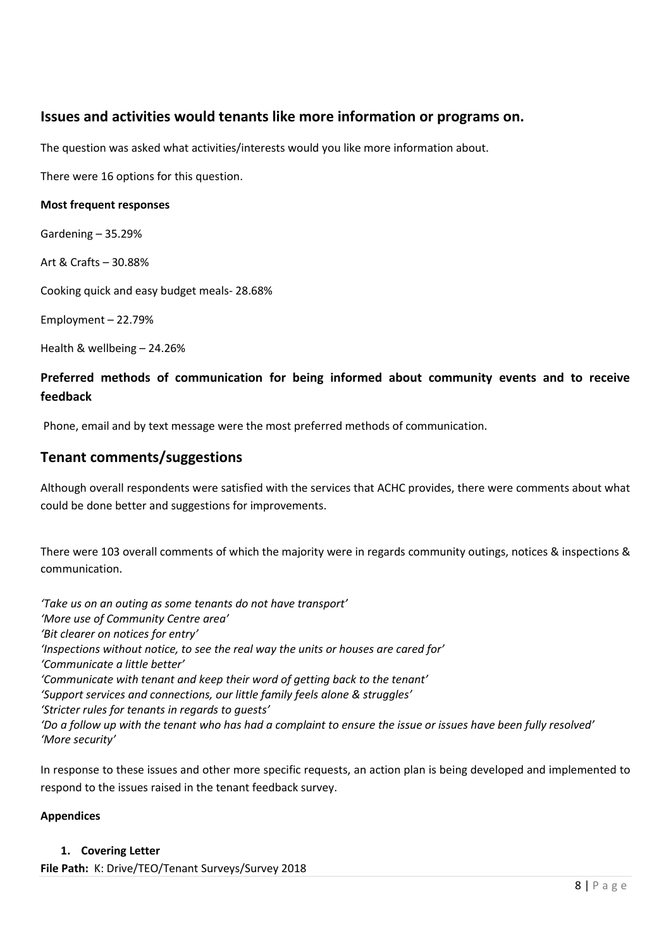### **Issues and activities would tenants like more information or programs on.**

The question was asked what activities/interests would you like more information about.

There were 16 options for this question.

#### **Most frequent responses**

Gardening – 35.29%

Art & Crafts – 30.88%

Cooking quick and easy budget meals- 28.68%

Employment – 22.79%

Health & wellbeing – 24.26%

### **Preferred methods of communication for being informed about community events and to receive feedback**

Phone, email and by text message were the most preferred methods of communication.

### **Tenant comments/suggestions**

Although overall respondents were satisfied with the services that ACHC provides, there were comments about what could be done better and suggestions for improvements.

There were 103 overall comments of which the majority were in regards community outings, notices & inspections & communication.

*'Take us on an outing as some tenants do not have transport' 'More use of Community Centre area' 'Bit clearer on notices for entry' 'Inspections without notice, to see the real way the units or houses are cared for' 'Communicate a little better' 'Communicate with tenant and keep their word of getting back to the tenant' 'Support services and connections, our little family feels alone & struggles' 'Stricter rules for tenants in regards to guests' 'Do a follow up with the tenant who has had a complaint to ensure the issue or issues have been fully resolved' 'More security'*

In response to these issues and other more specific requests, an action plan is being developed and implemented to respond to the issues raised in the tenant feedback survey.

### **Appendices**

#### **1. Covering Letter**

**File Path:** K: Drive/TEO/Tenant Surveys/Survey 2018